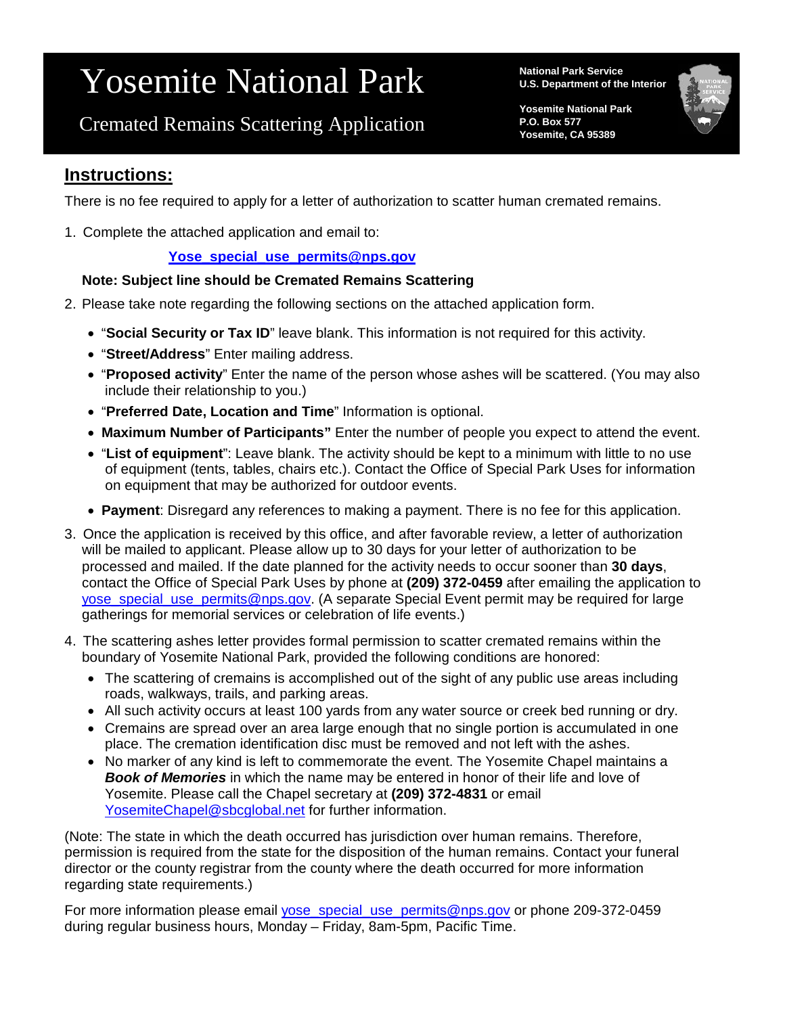# Yosemite National Park

Cremated Remains Scattering Application

**National Park Service U.S. Department of the Interior**

**Yosemite National Park P.O. Box 577 Yosemite, CA 95389**

El P t l CA 9531



## **Instructions:**

There is no fee required to apply for a letter of authorization to scatter human cremated remains.

1. Complete the attached application and email to:

#### **[Yose\\_special\\_use\\_permits@nps.gov](mailto:Yose_special_use_permits@nps.gov)**

#### **Note: Subject line should be Cremated Remains Scattering**

- 2. Please take note regarding the following sections on the attached application form.
	- "**Social Security or Tax ID**" leave blank. This information is not required for this activity.
	- "**Street/Address**" Enter mailing address.
	- "**Proposed activity**" Enter the name of the person whose ashes will be scattered. (You may also include their relationship to you.)
	- "**Preferred Date, Location and Time**" Information is optional.
	- **Maximum Number of Participants"** Enter the number of people you expect to attend the event.
	- "**List of equipment**": Leave blank. The activity should be kept to a minimum with little to no use of equipment (tents, tables, chairs etc.). Contact the Office of Special Park Uses for information on equipment that may be authorized for outdoor events.
	- **Payment**: Disregard any references to making a payment. There is no fee for this application.
- 3. Once the application is received by this office, and after favorable review, a letter of authorization will be mailed to applicant. Please allow up to 30 days for your letter of authorization to be processed and mailed. If the date planned for the activity needs to occur sooner than **30 days**, contact the Office of Special Park Uses by phone at **(209) 372-0459** after emailing the application to [yose\\_special\\_use\\_permits@nps.gov.](mailto:yose_special_use_permits@nps.gov) (A separate Special Event permit may be required for large gatherings for memorial services or celebration of life events.)
- 4. The scattering ashes letter provides formal permission to scatter cremated remains within the boundary of Yosemite National Park, provided the following conditions are honored:
	- The scattering of cremains is accomplished out of the sight of any public use areas including roads, walkways, trails, and parking areas.
	- All such activity occurs at least 100 yards from any water source or creek bed running or dry.
	- Cremains are spread over an area large enough that no single portion is accumulated in one place. The cremation identification disc must be removed and not left with the ashes.
	- No marker of any kind is left to commemorate the event. The Yosemite Chapel maintains a *Book of Memories* in which the name may be entered in honor of their life and love of Yosemite. Please call the Chapel secretary at **(209) 372-4831** or email [YosemiteChapel@sbcglobal.net](mailto:YosemiteChapel@sbcglobal.net) for further information.

(Note: The state in which the death occurred has jurisdiction over human remains. Therefore, permission is required from the state for the disposition of the human remains. Contact your funeral director or the county registrar from the county where the death occurred for more information regarding state requirements.)

For more information please email [yose\\_special\\_use\\_permits@nps.gov](mailto:yose_special_use_permits@nps.gov) or phone 209-372-0459 during regular business hours, Monday – Friday, 8am-5pm, Pacific Time.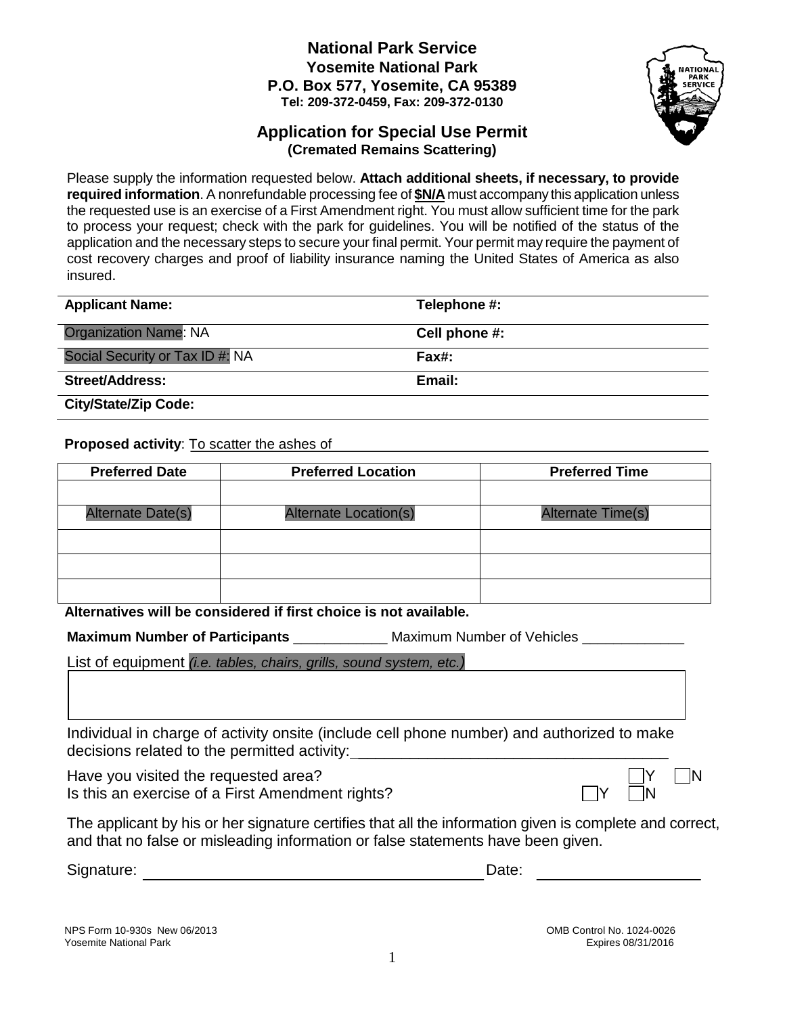#### **National Park Service Yosemite National Park P.O. Box 577, Yosemite, CA 95389 Tel: 209-372-0459, Fax: 209-372-0130**

#### **Application for Special Use Permit (Cremated Remains Scattering)**

Please supply the information requested below. **Attach additional sheets, if necessary, to provide required information**. A nonrefundable processing fee of **\$N/A**must accompany this application unless the requested use is an exercise of a First Amendment right. You must allow sufficient time for the park to process your request; check with the park for guidelines. You will be notified of the status of the application and the necessary steps to secure your final permit. Your permit may require the payment of cost recovery charges and proof of liability insurance naming the United States of America as also insured.

| <b>Applicant Name:</b>          | Telephone #:  |
|---------------------------------|---------------|
| <b>Organization Name: NA</b>    | Cell phone #: |
| Social Security or Tax ID #: NA | Fax#:         |
| Street/Address:                 | Email:        |
| <b>City/State/Zip Code:</b>     |               |

**Proposed activity**: To scatter the ashes of

| <b>Preferred Date</b>    | <b>Preferred Location</b>    | <b>Preferred Time</b> |
|--------------------------|------------------------------|-----------------------|
|                          |                              |                       |
| <b>Alternate Date(s)</b> | <b>Alternate Location(s)</b> | Alternate Time(s)     |
|                          |                              |                       |
|                          |                              |                       |
|                          |                              |                       |

**Alternatives will be considered if first choice is not available.** 

**Maximum Number of Participants** \_\_\_\_\_\_\_\_\_\_\_\_\_ Maximum Number of Vehicles \_\_\_\_\_\_\_\_\_\_\_

List of equipment *(i.e. tables, chairs, grills, sound system, etc.)*

Individual in charge of activity onsite (include cell phone number) and authorized to make decisions related to the permitted activity: \_\_\_\_\_\_\_\_\_\_\_\_\_\_\_\_\_\_\_\_\_\_\_\_\_\_\_\_\_\_\_\_\_\_\_

Have you visited the requested area?  $\Box Y$   $\Box N$ Is this an exercise of a First Amendment rights?

|   | ٦ |
|---|---|
| √ |   |

The applicant by his or her signature certifies that all the information given is complete and correct, and that no false or misleading information or false statements have been given.

Signature: Date: Development of the state of the state of the Date:

NPS Form 10-930s New 06/2013<br>
Yosemite National Park Control No. 1024-0026<br>
Yosemite National Park Control No. 1024-0026 Yosemite National Park